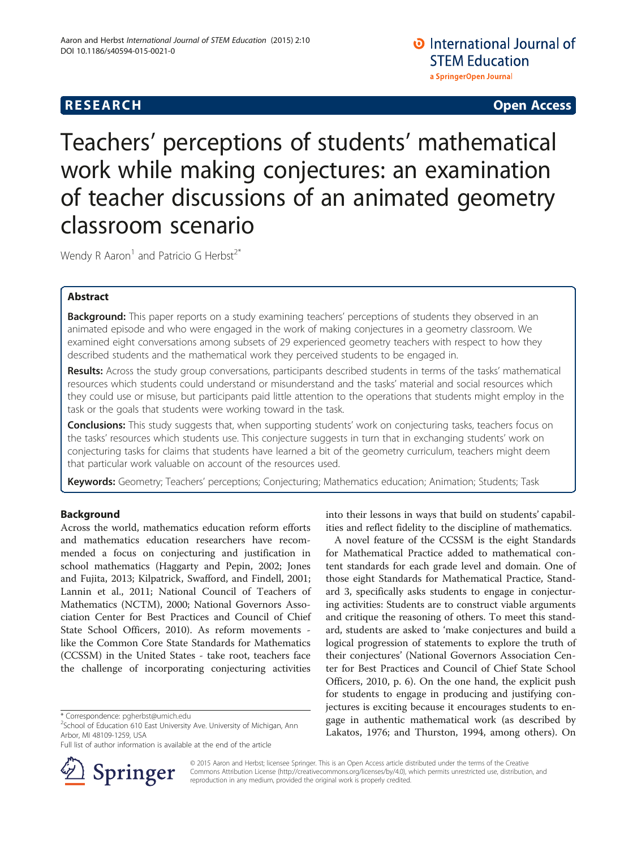# **RESEARCH CHINESE ARCH CHINESE ARCH CHINESE ARCH <b>CHINESE ARCH**

Teachers' perceptions of students' mathematical work while making conjectures: an examination of teacher discussions of an animated geometry classroom scenario

Wendy R Aaron<sup>1</sup> and Patricio G Herbst<sup>2\*</sup>

# Abstract

Background: This paper reports on a study examining teachers' perceptions of students they observed in an animated episode and who were engaged in the work of making conjectures in a geometry classroom. We examined eight conversations among subsets of 29 experienced geometry teachers with respect to how they described students and the mathematical work they perceived students to be engaged in.

Results: Across the study group conversations, participants described students in terms of the tasks' mathematical resources which students could understand or misunderstand and the tasks' material and social resources which they could use or misuse, but participants paid little attention to the operations that students might employ in the task or the goals that students were working toward in the task.

Conclusions: This study suggests that, when supporting students' work on conjecturing tasks, teachers focus on the tasks' resources which students use. This conjecture suggests in turn that in exchanging students' work on conjecturing tasks for claims that students have learned a bit of the geometry curriculum, teachers might deem that particular work valuable on account of the resources used.

Keywords: Geometry; Teachers' perceptions; Conjecturing; Mathematics education; Animation; Students; Task

# Background

Across the world, mathematics education reform efforts and mathematics education researchers have recommended a focus on conjecturing and justification in school mathematics (Haggarty and Pepin, [2002](#page-11-0); Jones and Fujita, [2013;](#page-11-0) Kilpatrick, Swafford, and Findell, [2001](#page-11-0); Lannin et al., [2011;](#page-11-0) National Council of Teachers of Mathematics (NCTM), [2000](#page-11-0); National Governors Association Center for Best Practices and Council of Chief State School Officers, [2010](#page-11-0)). As reform movements like the Common Core State Standards for Mathematics (CCSSM) in the United States - take root, teachers face the challenge of incorporating conjecturing activities

Full list of author information is available at the end of the article



into their lessons in ways that build on students' capabilities and reflect fidelity to the discipline of mathematics.

A novel feature of the CCSSM is the eight Standards for Mathematical Practice added to mathematical content standards for each grade level and domain. One of those eight Standards for Mathematical Practice, Standard 3, specifically asks students to engage in conjecturing activities: Students are to construct viable arguments and critique the reasoning of others. To meet this standard, students are asked to 'make conjectures and build a logical progression of statements to explore the truth of their conjectures' (National Governors Association Center for Best Practices and Council of Chief State School Officers, [2010](#page-11-0), p. 6). On the one hand, the explicit push for students to engage in producing and justifying conjectures is exciting because it encourages students to engage in authentic mathematical work (as described by Lakatos, [1976](#page-11-0); and Thurston, [1994](#page-12-0), among others). On

© 2015 Aaron and Herbst; licensee Springer. This is an Open Access article distributed under the terms of the Creative Commons Attribution License (<http://creativecommons.org/licenses/by/4.0>), which permits unrestricted use, distribution, and reproduction in any medium, provided the original work is properly credited.

<sup>\*</sup> Correspondence: [pgherbst@umich.edu](mailto:pgherbst@umich.edu) <sup>2</sup>

<sup>&</sup>lt;sup>2</sup>School of Education 610 East University Ave. University of Michigan, Ann Arbor, MI 48109-1259, USA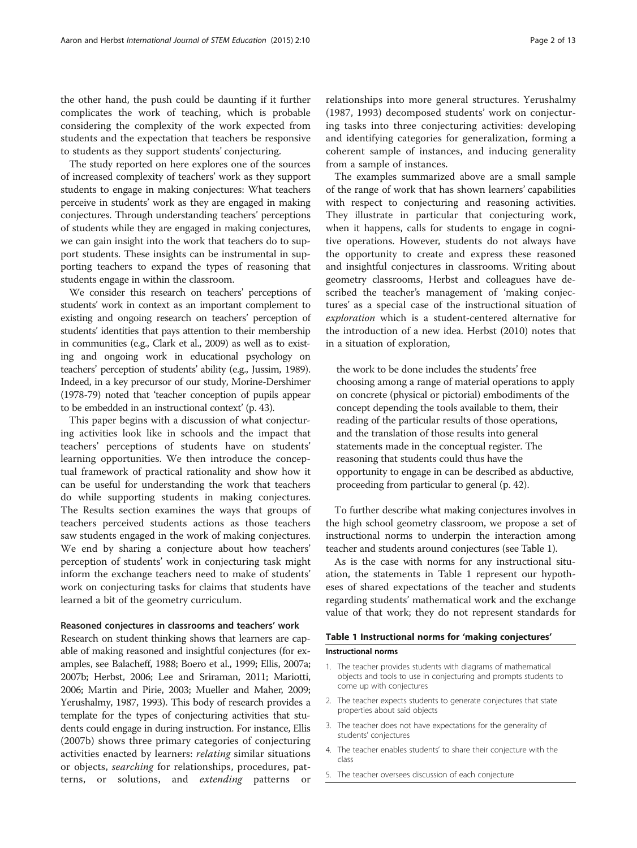<span id="page-1-0"></span>the other hand, the push could be daunting if it further complicates the work of teaching, which is probable considering the complexity of the work expected from students and the expectation that teachers be responsive to students as they support students' conjecturing.

The study reported on here explores one of the sources of increased complexity of teachers' work as they support students to engage in making conjectures: What teachers perceive in students' work as they are engaged in making conjectures. Through understanding teachers' perceptions of students while they are engaged in making conjectures, we can gain insight into the work that teachers do to support students. These insights can be instrumental in supporting teachers to expand the types of reasoning that students engage in within the classroom.

We consider this research on teachers' perceptions of students' work in context as an important complement to existing and ongoing research on teachers' perception of students' identities that pays attention to their membership in communities (e.g., Clark et al., [2009\)](#page-11-0) as well as to existing and ongoing work in educational psychology on teachers' perception of students' ability (e.g., Jussim, [1989](#page-11-0)). Indeed, in a key precursor of our study, Morine-Dershimer ([1978-](#page-11-0)79) noted that 'teacher conception of pupils appear to be embedded in an instructional context' (p. 43).

This paper begins with a discussion of what conjecturing activities look like in schools and the impact that teachers' perceptions of students have on students' learning opportunities. We then introduce the conceptual framework of practical rationality and show how it can be useful for understanding the work that teachers do while supporting students in making conjectures. The [Results](#page-6-0) section examines the ways that groups of teachers perceived students actions as those teachers saw students engaged in the work of making conjectures. We end by sharing a conjecture about how teachers' perception of students' work in conjecturing task might inform the exchange teachers need to make of students' work on conjecturing tasks for claims that students have learned a bit of the geometry curriculum.

### Reasoned conjectures in classrooms and teachers' work

Research on student thinking shows that learners are capable of making reasoned and insightful conjectures (for examples, see Balacheff, [1988](#page-11-0); Boero et al., [1999;](#page-11-0) Ellis, [2007a](#page-11-0); [2007b;](#page-11-0) Herbst, [2006;](#page-11-0) Lee and Sriraman, [2011;](#page-11-0) Mariotti, [2006;](#page-11-0) Martin and Pirie, [2003;](#page-11-0) Mueller and Maher, [2009](#page-11-0); Yerushalmy, [1987, 1993\)](#page-12-0). This body of research provides a template for the types of conjecturing activities that students could engage in during instruction. For instance, Ellis ([2007b](#page-11-0)) shows three primary categories of conjecturing activities enacted by learners: relating similar situations or objects, searching for relationships, procedures, patterns, or solutions, and extending patterns or

relationships into more general structures. Yerushalmy ([1987, 1993\)](#page-12-0) decomposed students' work on conjecturing tasks into three conjecturing activities: developing and identifying categories for generalization, forming a coherent sample of instances, and inducing generality from a sample of instances.

The examples summarized above are a small sample of the range of work that has shown learners' capabilities with respect to conjecturing and reasoning activities. They illustrate in particular that conjecturing work, when it happens, calls for students to engage in cognitive operations. However, students do not always have the opportunity to create and express these reasoned and insightful conjectures in classrooms. Writing about geometry classrooms, Herbst and colleagues have described the teacher's management of 'making conjectures' as a special case of the instructional situation of exploration which is a student-centered alternative for the introduction of a new idea. Herbst [\(2010\)](#page-11-0) notes that in a situation of exploration,

the work to be done includes the students' free choosing among a range of material operations to apply on concrete (physical or pictorial) embodiments of the concept depending the tools available to them, their reading of the particular results of those operations, and the translation of those results into general statements made in the conceptual register. The reasoning that students could thus have the opportunity to engage in can be described as abductive, proceeding from particular to general (p. 42).

To further describe what making conjectures involves in the high school geometry classroom, we propose a set of instructional norms to underpin the interaction among teacher and students around conjectures (see Table 1).

As is the case with norms for any instructional situation, the statements in Table 1 represent our hypotheses of shared expectations of the teacher and students regarding students' mathematical work and the exchange value of that work; they do not represent standards for

### Table 1 Instructional norms for 'making conjectures' Instructional norms

- 1. The teacher provides students with diagrams of mathematical objects and tools to use in conjecturing and prompts students to come up with conjectures
- 2. The teacher expects students to generate conjectures that state properties about said objects
- 3. The teacher does not have expectations for the generality of students' conjectures
- 4. The teacher enables students' to share their conjecture with the class
- 5. The teacher oversees discussion of each conjecture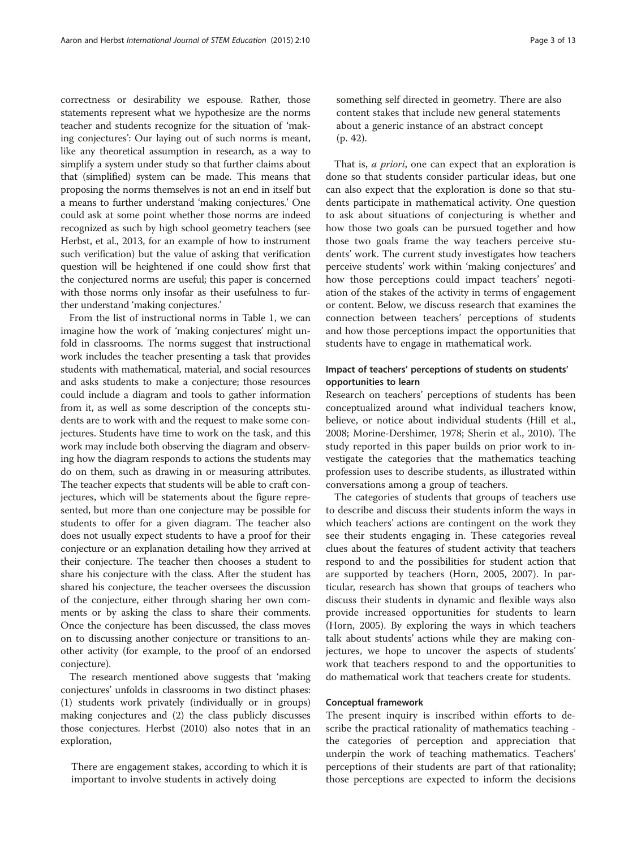correctness or desirability we espouse. Rather, those statements represent what we hypothesize are the norms teacher and students recognize for the situation of 'making conjectures': Our laying out of such norms is meant, like any theoretical assumption in research, as a way to simplify a system under study so that further claims about that (simplified) system can be made. This means that proposing the norms themselves is not an end in itself but a means to further understand 'making conjectures.' One could ask at some point whether those norms are indeed recognized as such by high school geometry teachers (see Herbst, et al., [2013,](#page-11-0) for an example of how to instrument such verification) but the value of asking that verification question will be heightened if one could show first that the conjectured norms are useful; this paper is concerned with those norms only insofar as their usefulness to further understand 'making conjectures.'

From the list of instructional norms in Table [1](#page-1-0), we can imagine how the work of 'making conjectures' might unfold in classrooms. The norms suggest that instructional work includes the teacher presenting a task that provides students with mathematical, material, and social resources and asks students to make a conjecture; those resources could include a diagram and tools to gather information from it, as well as some description of the concepts students are to work with and the request to make some conjectures. Students have time to work on the task, and this work may include both observing the diagram and observing how the diagram responds to actions the students may do on them, such as drawing in or measuring attributes. The teacher expects that students will be able to craft conjectures, which will be statements about the figure represented, but more than one conjecture may be possible for students to offer for a given diagram. The teacher also does not usually expect students to have a proof for their conjecture or an explanation detailing how they arrived at their conjecture. The teacher then chooses a student to share his conjecture with the class. After the student has shared his conjecture, the teacher oversees the discussion of the conjecture, either through sharing her own comments or by asking the class to share their comments. Once the conjecture has been discussed, the class moves on to discussing another conjecture or transitions to another activity (for example, to the proof of an endorsed conjecture).

The research mentioned above suggests that 'making conjectures' unfolds in classrooms in two distinct phases: (1) students work privately (individually or in groups) making conjectures and (2) the class publicly discusses those conjectures. Herbst ([2010](#page-11-0)) also notes that in an exploration,

There are engagement stakes, according to which it is important to involve students in actively doing

That is, *a priori*, one can expect that an exploration is done so that students consider particular ideas, but one can also expect that the exploration is done so that students participate in mathematical activity. One question to ask about situations of conjecturing is whether and how those two goals can be pursued together and how those two goals frame the way teachers perceive students' work. The current study investigates how teachers perceive students' work within 'making conjectures' and how those perceptions could impact teachers' negotiation of the stakes of the activity in terms of engagement or content. Below, we discuss research that examines the connection between teachers' perceptions of students and how those perceptions impact the opportunities that students have to engage in mathematical work.

# Impact of teachers' perceptions of students on students' opportunities to learn

Research on teachers' perceptions of students has been conceptualized around what individual teachers know, believe, or notice about individual students (Hill et al., [2008](#page-11-0); Morine-Dershimer, [1978;](#page-11-0) Sherin et al., [2010](#page-11-0)). The study reported in this paper builds on prior work to investigate the categories that the mathematics teaching profession uses to describe students, as illustrated within conversations among a group of teachers.

The categories of students that groups of teachers use to describe and discuss their students inform the ways in which teachers' actions are contingent on the work they see their students engaging in. These categories reveal clues about the features of student activity that teachers respond to and the possibilities for student action that are supported by teachers (Horn, [2005, 2007](#page-11-0)). In particular, research has shown that groups of teachers who discuss their students in dynamic and flexible ways also provide increased opportunities for students to learn (Horn, [2005\)](#page-11-0). By exploring the ways in which teachers talk about students' actions while they are making conjectures, we hope to uncover the aspects of students' work that teachers respond to and the opportunities to do mathematical work that teachers create for students.

#### Conceptual framework

The present inquiry is inscribed within efforts to describe the practical rationality of mathematics teaching the categories of perception and appreciation that underpin the work of teaching mathematics. Teachers' perceptions of their students are part of that rationality; those perceptions are expected to inform the decisions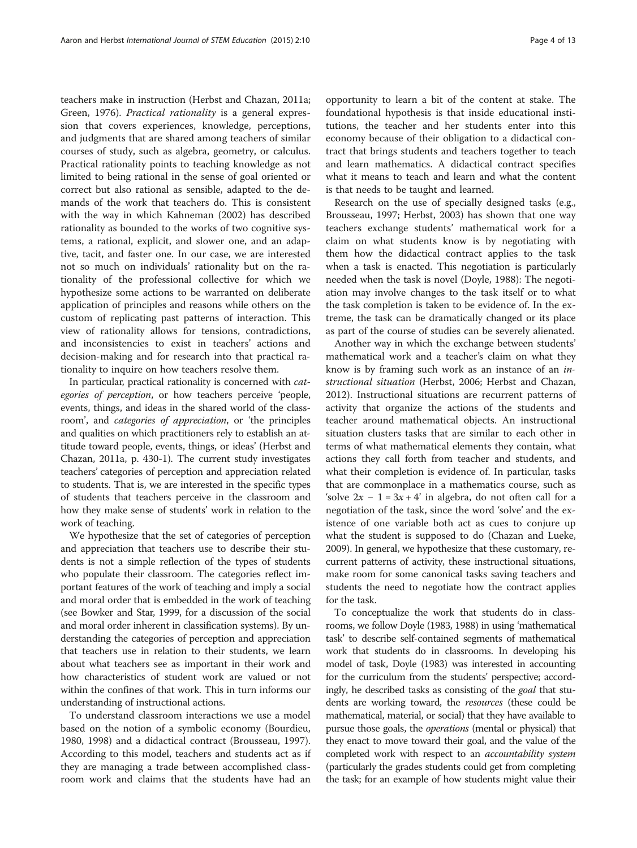teachers make in instruction (Herbst and Chazan, [2011a](#page-11-0); Green, [1976](#page-11-0)). Practical rationality is a general expression that covers experiences, knowledge, perceptions, and judgments that are shared among teachers of similar courses of study, such as algebra, geometry, or calculus. Practical rationality points to teaching knowledge as not limited to being rational in the sense of goal oriented or correct but also rational as sensible, adapted to the demands of the work that teachers do. This is consistent with the way in which Kahneman [\(2002\)](#page-11-0) has described rationality as bounded to the works of two cognitive systems, a rational, explicit, and slower one, and an adaptive, tacit, and faster one. In our case, we are interested not so much on individuals' rationality but on the rationality of the professional collective for which we hypothesize some actions to be warranted on deliberate application of principles and reasons while others on the custom of replicating past patterns of interaction. This view of rationality allows for tensions, contradictions, and inconsistencies to exist in teachers' actions and decision-making and for research into that practical rationality to inquire on how teachers resolve them.

In particular, practical rationality is concerned with categories of perception, or how teachers perceive 'people, events, things, and ideas in the shared world of the classroom', and categories of appreciation, or 'the principles and qualities on which practitioners rely to establish an attitude toward people, events, things, or ideas' (Herbst and Chazan, [2011a](#page-11-0), p. 430-1). The current study investigates teachers' categories of perception and appreciation related to students. That is, we are interested in the specific types of students that teachers perceive in the classroom and how they make sense of students' work in relation to the work of teaching.

We hypothesize that the set of categories of perception and appreciation that teachers use to describe their students is not a simple reflection of the types of students who populate their classroom. The categories reflect important features of the work of teaching and imply a social and moral order that is embedded in the work of teaching (see Bowker and Star, [1999,](#page-11-0) for a discussion of the social and moral order inherent in classification systems). By understanding the categories of perception and appreciation that teachers use in relation to their students, we learn about what teachers see as important in their work and how characteristics of student work are valued or not within the confines of that work. This in turn informs our understanding of instructional actions.

To understand classroom interactions we use a model based on the notion of a symbolic economy (Bourdieu, [1980](#page-11-0), [1998\)](#page-11-0) and a didactical contract (Brousseau, 1997). According to this model, teachers and students act as if they are managing a trade between accomplished classroom work and claims that the students have had an

opportunity to learn a bit of the content at stake. The foundational hypothesis is that inside educational institutions, the teacher and her students enter into this economy because of their obligation to a didactical contract that brings students and teachers together to teach and learn mathematics. A didactical contract specifies what it means to teach and learn and what the content is that needs to be taught and learned.

Research on the use of specially designed tasks (e.g., Brousseau, 1997; Herbst, [2003\)](#page-11-0) has shown that one way teachers exchange students' mathematical work for a claim on what students know is by negotiating with them how the didactical contract applies to the task when a task is enacted. This negotiation is particularly needed when the task is novel (Doyle, [1988](#page-11-0)): The negotiation may involve changes to the task itself or to what the task completion is taken to be evidence of. In the extreme, the task can be dramatically changed or its place as part of the course of studies can be severely alienated.

Another way in which the exchange between students' mathematical work and a teacher's claim on what they know is by framing such work as an instance of an instructional situation (Herbst, [2006;](#page-11-0) Herbst and Chazan, [2012](#page-11-0)). Instructional situations are recurrent patterns of activity that organize the actions of the students and teacher around mathematical objects. An instructional situation clusters tasks that are similar to each other in terms of what mathematical elements they contain, what actions they call forth from teacher and students, and what their completion is evidence of. In particular, tasks that are commonplace in a mathematics course, such as 'solve  $2x - 1 = 3x + 4$ ' in algebra, do not often call for a negotiation of the task, since the word 'solve' and the existence of one variable both act as cues to conjure up what the student is supposed to do (Chazan and Lueke, [2009\)](#page-11-0). In general, we hypothesize that these customary, recurrent patterns of activity, these instructional situations, make room for some canonical tasks saving teachers and students the need to negotiate how the contract applies for the task.

To conceptualize the work that students do in classrooms, we follow Doyle [\(1983](#page-11-0), [1988\)](#page-11-0) in using 'mathematical task' to describe self-contained segments of mathematical work that students do in classrooms. In developing his model of task, Doyle ([1983\)](#page-11-0) was interested in accounting for the curriculum from the students' perspective; accordingly, he described tasks as consisting of the goal that students are working toward, the *resources* (these could be mathematical, material, or social) that they have available to pursue those goals, the *operations* (mental or physical) that they enact to move toward their goal, and the value of the completed work with respect to an *accountability system* (particularly the grades students could get from completing the task; for an example of how students might value their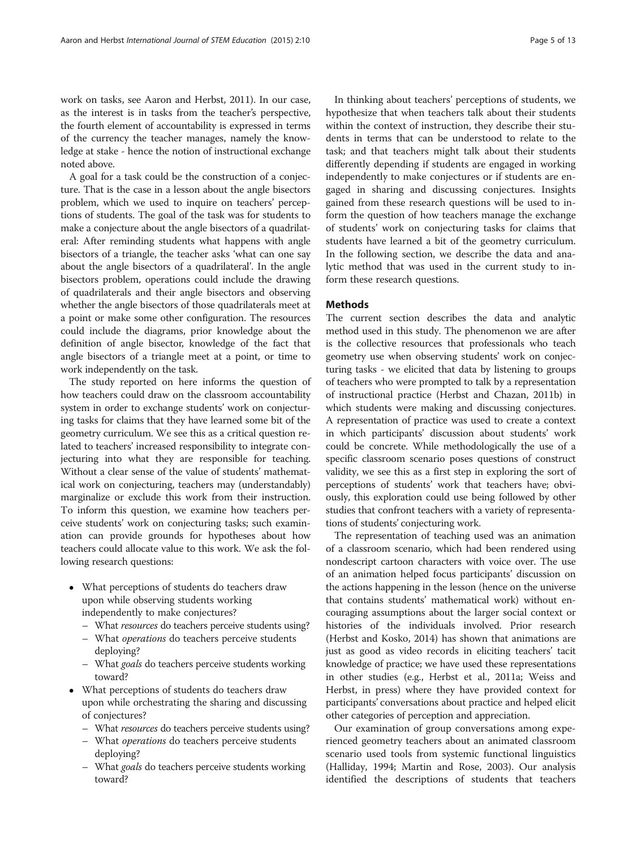work on tasks, see Aaron and Herbst, [2011\)](#page-11-0). In our case, as the interest is in tasks from the teacher's perspective, the fourth element of accountability is expressed in terms of the currency the teacher manages, namely the knowledge at stake - hence the notion of instructional exchange noted above.

A goal for a task could be the construction of a conjecture. That is the case in a lesson about the angle bisectors problem, which we used to inquire on teachers' perceptions of students. The goal of the task was for students to make a conjecture about the angle bisectors of a quadrilateral: After reminding students what happens with angle bisectors of a triangle, the teacher asks 'what can one say about the angle bisectors of a quadrilateral'. In the angle bisectors problem, operations could include the drawing of quadrilaterals and their angle bisectors and observing whether the angle bisectors of those quadrilaterals meet at a point or make some other configuration. The resources could include the diagrams, prior knowledge about the definition of angle bisector, knowledge of the fact that angle bisectors of a triangle meet at a point, or time to work independently on the task.

The study reported on here informs the question of how teachers could draw on the classroom accountability system in order to exchange students' work on conjecturing tasks for claims that they have learned some bit of the geometry curriculum. We see this as a critical question related to teachers' increased responsibility to integrate conjecturing into what they are responsible for teaching. Without a clear sense of the value of students' mathematical work on conjecturing, teachers may (understandably) marginalize or exclude this work from their instruction. To inform this question, we examine how teachers perceive students' work on conjecturing tasks; such examination can provide grounds for hypotheses about how teachers could allocate value to this work. We ask the following research questions:

- What perceptions of students do teachers draw upon while observing students working independently to make conjectures?
	- What resources do teachers perceive students using?
	- What operations do teachers perceive students deploying?
	- What goals do teachers perceive students working toward?
- What perceptions of students do teachers draw upon while orchestrating the sharing and discussing of conjectures?
	- What *resources* do teachers perceive students using?
	- What *operations* do teachers perceive students deploying?
	- What *goals* do teachers perceive students working toward?

In thinking about teachers' perceptions of students, we hypothesize that when teachers talk about their students within the context of instruction, they describe their students in terms that can be understood to relate to the task; and that teachers might talk about their students differently depending if students are engaged in working independently to make conjectures or if students are engaged in sharing and discussing conjectures. Insights gained from these research questions will be used to inform the question of how teachers manage the exchange of students' work on conjecturing tasks for claims that students have learned a bit of the geometry curriculum. In the following section, we describe the data and analytic method that was used in the current study to inform these research questions.

### **Methods**

The current section describes the data and analytic method used in this study. The phenomenon we are after is the collective resources that professionals who teach geometry use when observing students' work on conjecturing tasks - we elicited that data by listening to groups of teachers who were prompted to talk by a representation of instructional practice (Herbst and Chazan, [2011b](#page-11-0)) in which students were making and discussing conjectures. A representation of practice was used to create a context in which participants' discussion about students' work could be concrete. While methodologically the use of a specific classroom scenario poses questions of construct validity, we see this as a first step in exploring the sort of perceptions of students' work that teachers have; obviously, this exploration could use being followed by other studies that confront teachers with a variety of representations of students' conjecturing work.

The representation of teaching used was an animation of a classroom scenario, which had been rendered using nondescript cartoon characters with voice over. The use of an animation helped focus participants' discussion on the actions happening in the lesson (hence on the universe that contains students' mathematical work) without encouraging assumptions about the larger social context or histories of the individuals involved. Prior research (Herbst and Kosko, [2014\)](#page-11-0) has shown that animations are just as good as video records in eliciting teachers' tacit knowledge of practice; we have used these representations in other studies (e.g., Herbst et al., [2011a;](#page-11-0) Weiss and Herbst, [in press\)](#page-12-0) where they have provided context for participants' conversations about practice and helped elicit other categories of perception and appreciation.

Our examination of group conversations among experienced geometry teachers about an animated classroom scenario used tools from systemic functional linguistics (Halliday, [1994](#page-11-0); Martin and Rose, [2003](#page-11-0)). Our analysis identified the descriptions of students that teachers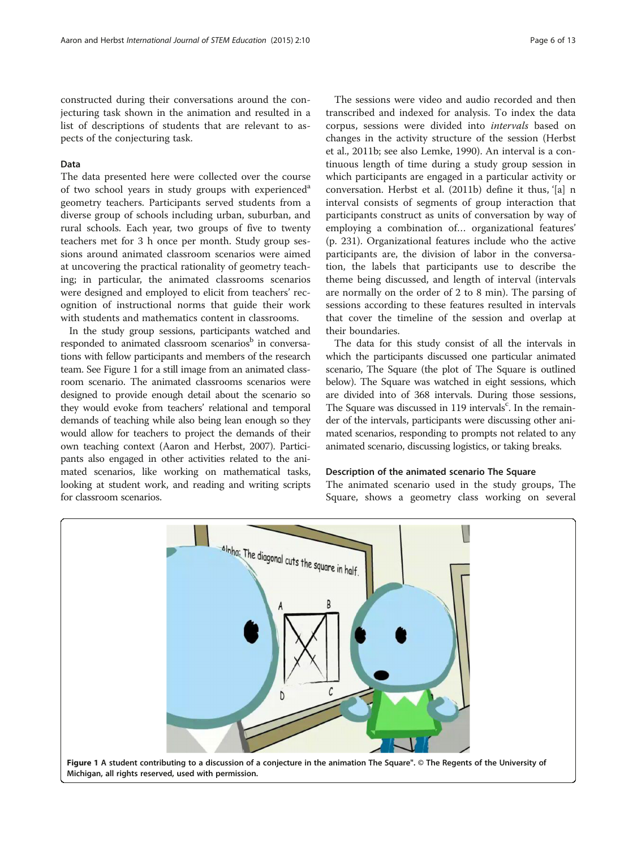constructed during their conversations around the conjecturing task shown in the animation and resulted in a list of descriptions of students that are relevant to aspects of the conjecturing task.

### Data

The data presented here were collected over the course of two school years in study groups with experienced<sup>a</sup> geometry teachers. Participants served students from a diverse group of schools including urban, suburban, and rural schools. Each year, two groups of five to twenty teachers met for 3 h once per month. Study group sessions around animated classroom scenarios were aimed at uncovering the practical rationality of geometry teaching; in particular, the animated classrooms scenarios were designed and employed to elicit from teachers' recognition of instructional norms that guide their work with students and mathematics content in classrooms.

In the study group sessions, participants watched and responded to animated classroom scenarios<sup>b</sup> in conversations with fellow participants and members of the research team. See Figure 1 for a still image from an animated classroom scenario. The animated classrooms scenarios were designed to provide enough detail about the scenario so they would evoke from teachers' relational and temporal demands of teaching while also being lean enough so they would allow for teachers to project the demands of their own teaching context (Aaron and Herbst, [2007](#page-10-0)). Participants also engaged in other activities related to the animated scenarios, like working on mathematical tasks, looking at student work, and reading and writing scripts for classroom scenarios.

The sessions were video and audio recorded and then transcribed and indexed for analysis. To index the data corpus, sessions were divided into intervals based on changes in the activity structure of the session (Herbst et al., [2011b](#page-11-0); see also Lemke, [1990\)](#page-11-0). An interval is a continuous length of time during a study group session in which participants are engaged in a particular activity or conversation. Herbst et al. ([2011b\)](#page-11-0) define it thus, '[a] n interval consists of segments of group interaction that participants construct as units of conversation by way of employing a combination of… organizational features' (p. 231). Organizational features include who the active participants are, the division of labor in the conversation, the labels that participants use to describe the theme being discussed, and length of interval (intervals are normally on the order of 2 to 8 min). The parsing of sessions according to these features resulted in intervals that cover the timeline of the session and overlap at their boundaries.

The data for this study consist of all the intervals in which the participants discussed one particular animated scenario, The Square (the plot of The Square is outlined below). The Square was watched in eight sessions, which are divided into of 368 intervals. During those sessions, The Square was discussed in 119 intervals<sup>c</sup>. In the remainder of the intervals, participants were discussing other animated scenarios, responding to prompts not related to any animated scenario, discussing logistics, or taking breaks.

### Description of the animated scenario The Square

The animated scenario used in the study groups, The Square, shows a geometry class working on several

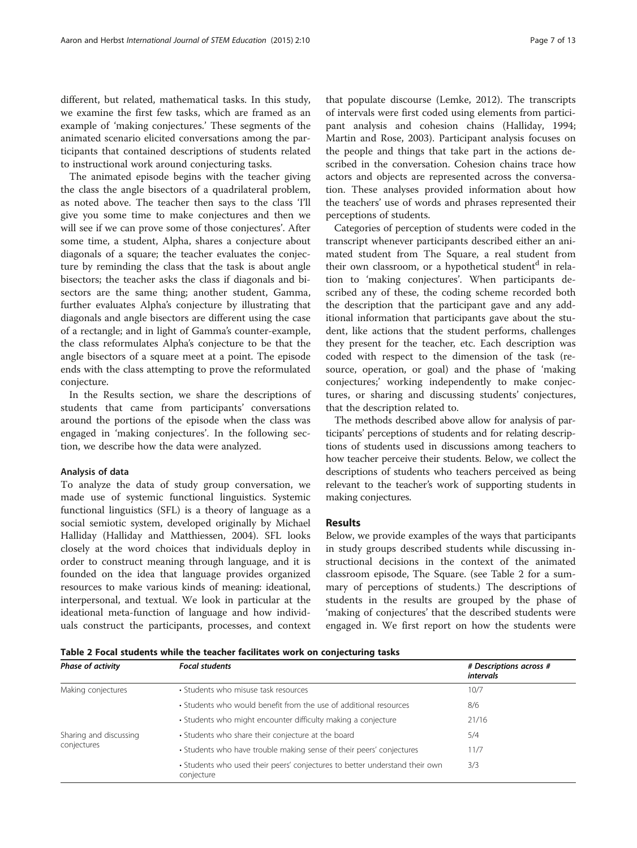<span id="page-6-0"></span>different, but related, mathematical tasks. In this study, we examine the first few tasks, which are framed as an example of 'making conjectures.' These segments of the animated scenario elicited conversations among the participants that contained descriptions of students related to instructional work around conjecturing tasks.

The animated episode begins with the teacher giving the class the angle bisectors of a quadrilateral problem, as noted above. The teacher then says to the class 'I'll give you some time to make conjectures and then we will see if we can prove some of those conjectures'. After some time, a student, Alpha, shares a conjecture about diagonals of a square; the teacher evaluates the conjecture by reminding the class that the task is about angle bisectors; the teacher asks the class if diagonals and bisectors are the same thing; another student, Gamma, further evaluates Alpha's conjecture by illustrating that diagonals and angle bisectors are different using the case of a rectangle; and in light of Gamma's counter-example, the class reformulates Alpha's conjecture to be that the angle bisectors of a square meet at a point. The episode ends with the class attempting to prove the reformulated conjecture.

In the Results section, we share the descriptions of students that came from participants' conversations around the portions of the episode when the class was engaged in 'making conjectures'. In the following section, we describe how the data were analyzed.

### Analysis of data

To analyze the data of study group conversation, we made use of systemic functional linguistics. Systemic functional linguistics (SFL) is a theory of language as a social semiotic system, developed originally by Michael Halliday (Halliday and Matthiessen, 2004). SFL looks closely at the word choices that individuals deploy in order to construct meaning through language, and it is founded on the idea that language provides organized resources to make various kinds of meaning: ideational, interpersonal, and textual. We look in particular at the ideational meta-function of language and how individuals construct the participants, processes, and context that populate discourse (Lemke, [2012\)](#page-11-0). The transcripts of intervals were first coded using elements from participant analysis and cohesion chains (Halliday, [1994](#page-11-0); Martin and Rose, [2003](#page-11-0)). Participant analysis focuses on the people and things that take part in the actions described in the conversation. Cohesion chains trace how actors and objects are represented across the conversation. These analyses provided information about how the teachers' use of words and phrases represented their perceptions of students.

Categories of perception of students were coded in the transcript whenever participants described either an animated student from The Square, a real student from their own classroom, or a hypothetical student<sup>d</sup> in relation to 'making conjectures'. When participants described any of these, the coding scheme recorded both the description that the participant gave and any additional information that participants gave about the student, like actions that the student performs, challenges they present for the teacher, etc. Each description was coded with respect to the dimension of the task (resource, operation, or goal) and the phase of 'making conjectures;' working independently to make conjectures, or sharing and discussing students' conjectures, that the description related to.

The methods described above allow for analysis of participants' perceptions of students and for relating descriptions of students used in discussions among teachers to how teacher perceive their students. Below, we collect the descriptions of students who teachers perceived as being relevant to the teacher's work of supporting students in making conjectures.

### Results

Below, we provide examples of the ways that participants in study groups described students while discussing instructional decisions in the context of the animated classroom episode, The Square. (see Table 2 for a summary of perceptions of students.) The descriptions of students in the results are grouped by the phase of 'making of conjectures' that the described students were engaged in. We first report on how the students were

Table 2 Focal students while the teacher facilitates work on conjecturing tasks

| Phase of activity                     | <b>Focal students</b>                                                                     | # Descriptions across #<br>intervals |
|---------------------------------------|-------------------------------------------------------------------------------------------|--------------------------------------|
| Making conjectures                    | • Students who misuse task resources                                                      | 10/7                                 |
|                                       | • Students who would benefit from the use of additional resources                         | 8/6                                  |
|                                       | • Students who might encounter difficulty making a conjecture                             | 21/16                                |
| Sharing and discussing<br>conjectures | • Students who share their conjecture at the board                                        | 5/4                                  |
|                                       | • Students who have trouble making sense of their peers' conjectures                      | 11/7                                 |
|                                       | • Students who used their peers' conjectures to better understand their own<br>conjecture | 3/3                                  |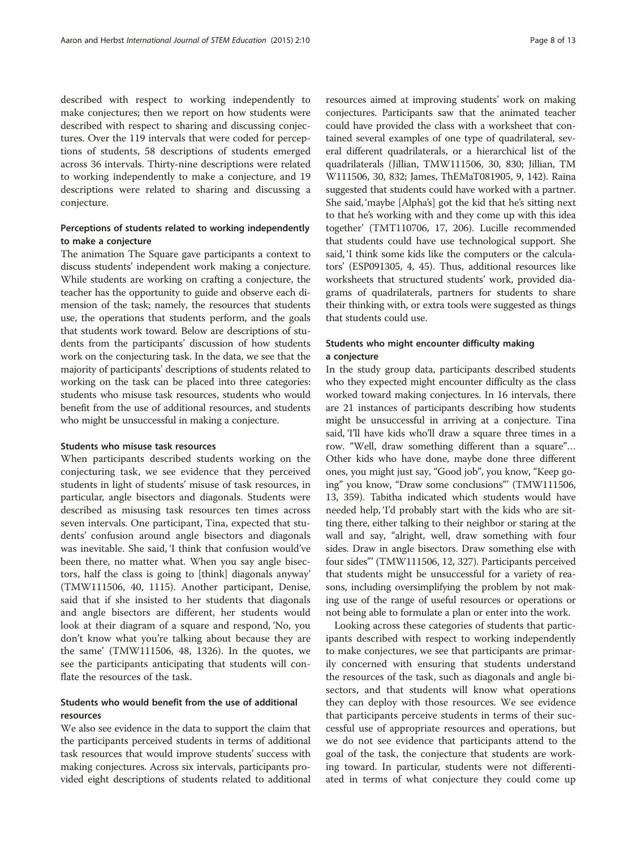described with respect to working independently to make conjectures; then we report on how students were described with respect to sharing and discussing conjectures. Over the 119 intervals that were coded for perceptions of students, 58 descriptions of students emerged across 36 intervals. Thirty-nine descriptions were related to working independently to make a conjecture, and 19 descriptions were related to sharing and discussing a conjecture.

# Perceptions of students related to working independently to make a conjecture

The animation The Square gave participants a context to discuss students' independent work making a conjecture. While students are working on crafting a conjecture, the teacher has the opportunity to guide and observe each dimension of the task; namely, the resources that students use, the operations that students perform, and the goals that students work toward. Below are descriptions of students from the participants' discussion of how students work on the conjecturing task. In the data, we see that the majority of participants' descriptions of students related to working on the task can be placed into three categories: students who misuse task resources, students who would benefit from the use of additional resources, and students who might be unsuccessful in making a conjecture.

#### Students who misuse task resources

When participants described students working on the conjecturing task, we see evidence that they perceived students in light of students' misuse of task resources, in particular, angle bisectors and diagonals. Students were described as misusing task resources ten times across seven intervals. One participant, Tina, expected that students' confusion around angle bisectors and diagonals was inevitable. She said, 'I think that confusion would've been there, no matter what. When you say angle bisectors, half the class is going to [think] diagonals anyway' (TMW111506, 40, 1115). Another participant, Denise, said that if she insisted to her students that diagonals and angle bisectors are different, her students would look at their diagram of a square and respond, 'No, you don't know what you're talking about because they are the same' (TMW111506, 48, 1326). In the quotes, we see the participants anticipating that students will conflate the resources of the task.

# Students who would benefit from the use of additional resources

We also see evidence in the data to support the claim that the participants perceived students in terms of additional task resources that would improve students' success with making conjectures. Across six intervals, participants provided eight descriptions of students related to additional resources aimed at improving students' work on making conjectures. Participants saw that the animated teacher could have provided the class with a worksheet that contained several examples of one type of quadrilateral, several different quadrilaterals, or a hierarchical list of the quadrilaterals (Jillian, TMW111506, 30, 830; Jillian, TM W111506, 30, 832; James, ThEMaT081905, 9, 142). Raina suggested that students could have worked with a partner. She said, 'maybe [Alpha's] got the kid that he's sitting next to that he's working with and they come up with this idea together' (TMT110706, 17, 206). Lucille recommended that students could have use technological support. She said, 'I think some kids like the computers or the calculators' (ESP091305, 4, 45). Thus, additional resources like worksheets that structured students' work, provided diagrams of quadrilaterals, partners for students to share their thinking with, or extra tools were suggested as things that students could use.

# Students who might encounter difficulty making a conjecture

In the study group data, participants described students who they expected might encounter difficulty as the class worked toward making conjectures. In 16 intervals, there are 21 instances of participants describing how students might be unsuccessful in arriving at a conjecture. Tina said, 'I'll have kids who'll draw a square three times in a row. "Well, draw something different than a square"… Other kids who have done, maybe done three different ones, you might just say, "Good job", you know, "Keep going" you know, "Draw some conclusions"' (TMW111506, 13, 359). Tabitha indicated which students would have needed help, 'I'd probably start with the kids who are sitting there, either talking to their neighbor or staring at the wall and say, "alright, well, draw something with four sides. Draw in angle bisectors. Draw something else with four sides"' (TMW111506, 12, 327). Participants perceived that students might be unsuccessful for a variety of reasons, including oversimplifying the problem by not making use of the range of useful resources or operations or not being able to formulate a plan or enter into the work.

Looking across these categories of students that participants described with respect to working independently to make conjectures, we see that participants are primarily concerned with ensuring that students understand the resources of the task, such as diagonals and angle bisectors, and that students will know what operations they can deploy with those resources. We see evidence that participants perceive students in terms of their successful use of appropriate resources and operations, but we do not see evidence that participants attend to the goal of the task, the conjecture that students are working toward. In particular, students were not differentiated in terms of what conjecture they could come up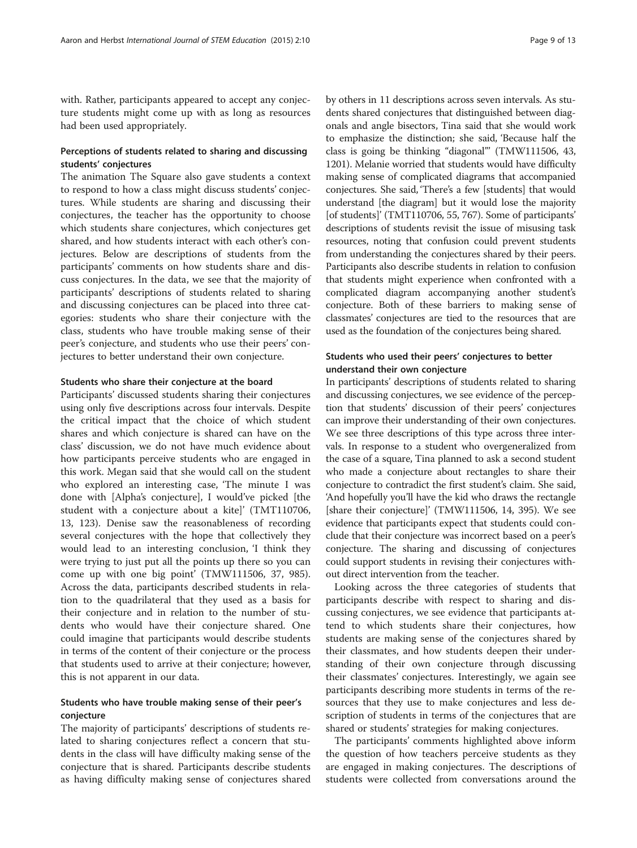with. Rather, participants appeared to accept any conjecture students might come up with as long as resources had been used appropriately.

# Perceptions of students related to sharing and discussing students' conjectures

The animation The Square also gave students a context to respond to how a class might discuss students' conjectures. While students are sharing and discussing their conjectures, the teacher has the opportunity to choose which students share conjectures, which conjectures get shared, and how students interact with each other's conjectures. Below are descriptions of students from the participants' comments on how students share and discuss conjectures. In the data, we see that the majority of participants' descriptions of students related to sharing and discussing conjectures can be placed into three categories: students who share their conjecture with the class, students who have trouble making sense of their peer's conjecture, and students who use their peers' conjectures to better understand their own conjecture.

### Students who share their conjecture at the board

Participants' discussed students sharing their conjectures using only five descriptions across four intervals. Despite the critical impact that the choice of which student shares and which conjecture is shared can have on the class' discussion, we do not have much evidence about how participants perceive students who are engaged in this work. Megan said that she would call on the student who explored an interesting case, 'The minute I was done with [Alpha's conjecture], I would've picked [the student with a conjecture about a kite]' (TMT110706, 13, 123). Denise saw the reasonableness of recording several conjectures with the hope that collectively they would lead to an interesting conclusion, 'I think they were trying to just put all the points up there so you can come up with one big point' (TMW111506, 37, 985). Across the data, participants described students in relation to the quadrilateral that they used as a basis for their conjecture and in relation to the number of students who would have their conjecture shared. One could imagine that participants would describe students in terms of the content of their conjecture or the process that students used to arrive at their conjecture; however, this is not apparent in our data.

# Students who have trouble making sense of their peer's conjecture

The majority of participants' descriptions of students related to sharing conjectures reflect a concern that students in the class will have difficulty making sense of the conjecture that is shared. Participants describe students as having difficulty making sense of conjectures shared by others in 11 descriptions across seven intervals. As students shared conjectures that distinguished between diagonals and angle bisectors, Tina said that she would work to emphasize the distinction; she said, 'Because half the class is going be thinking "diagonal"' (TMW111506, 43, 1201). Melanie worried that students would have difficulty making sense of complicated diagrams that accompanied conjectures. She said, 'There's a few [students] that would understand [the diagram] but it would lose the majority [of students]' (TMT110706, 55, 767). Some of participants' descriptions of students revisit the issue of misusing task resources, noting that confusion could prevent students from understanding the conjectures shared by their peers. Participants also describe students in relation to confusion that students might experience when confronted with a complicated diagram accompanying another student's conjecture. Both of these barriers to making sense of classmates' conjectures are tied to the resources that are used as the foundation of the conjectures being shared.

### Students who used their peers' conjectures to better understand their own conjecture

In participants' descriptions of students related to sharing and discussing conjectures, we see evidence of the perception that students' discussion of their peers' conjectures can improve their understanding of their own conjectures. We see three descriptions of this type across three intervals. In response to a student who overgeneralized from the case of a square, Tina planned to ask a second student who made a conjecture about rectangles to share their conjecture to contradict the first student's claim. She said, 'And hopefully you'll have the kid who draws the rectangle [share their conjecture]' (TMW111506, 14, 395). We see evidence that participants expect that students could conclude that their conjecture was incorrect based on a peer's conjecture. The sharing and discussing of conjectures could support students in revising their conjectures without direct intervention from the teacher.

Looking across the three categories of students that participants describe with respect to sharing and discussing conjectures, we see evidence that participants attend to which students share their conjectures, how students are making sense of the conjectures shared by their classmates, and how students deepen their understanding of their own conjecture through discussing their classmates' conjectures. Interestingly, we again see participants describing more students in terms of the resources that they use to make conjectures and less description of students in terms of the conjectures that are shared or students' strategies for making conjectures.

The participants' comments highlighted above inform the question of how teachers perceive students as they are engaged in making conjectures. The descriptions of students were collected from conversations around the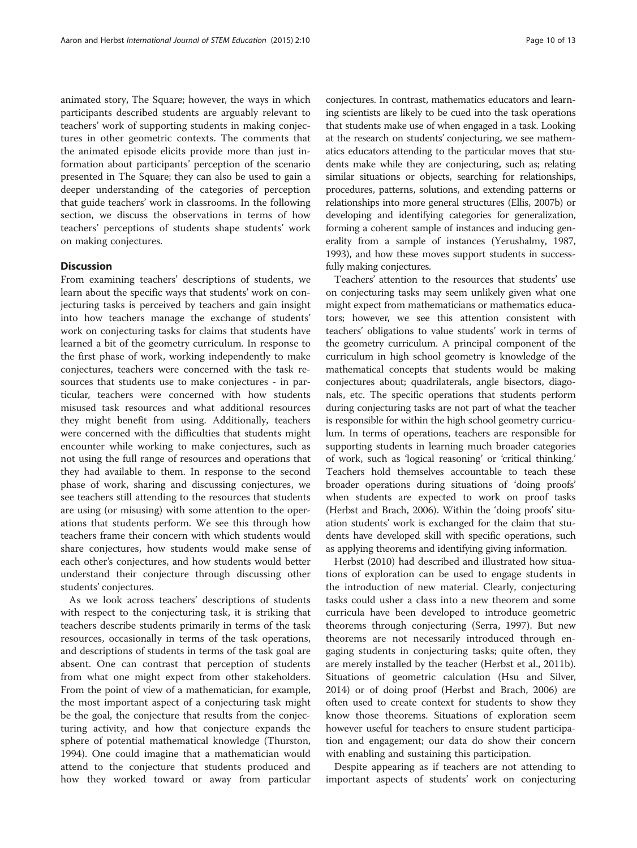animated story, The Square; however, the ways in which participants described students are arguably relevant to teachers' work of supporting students in making conjectures in other geometric contexts. The comments that the animated episode elicits provide more than just information about participants' perception of the scenario presented in The Square; they can also be used to gain a deeper understanding of the categories of perception that guide teachers' work in classrooms. In the following section, we discuss the observations in terms of how teachers' perceptions of students shape students' work on making conjectures.

### **Discussion**

From examining teachers' descriptions of students, we learn about the specific ways that students' work on conjecturing tasks is perceived by teachers and gain insight into how teachers manage the exchange of students' work on conjecturing tasks for claims that students have learned a bit of the geometry curriculum. In response to the first phase of work, working independently to make conjectures, teachers were concerned with the task resources that students use to make conjectures - in particular, teachers were concerned with how students misused task resources and what additional resources they might benefit from using. Additionally, teachers were concerned with the difficulties that students might encounter while working to make conjectures, such as not using the full range of resources and operations that they had available to them. In response to the second phase of work, sharing and discussing conjectures, we see teachers still attending to the resources that students are using (or misusing) with some attention to the operations that students perform. We see this through how teachers frame their concern with which students would share conjectures, how students would make sense of each other's conjectures, and how students would better understand their conjecture through discussing other students' conjectures.

As we look across teachers' descriptions of students with respect to the conjecturing task, it is striking that teachers describe students primarily in terms of the task resources, occasionally in terms of the task operations, and descriptions of students in terms of the task goal are absent. One can contrast that perception of students from what one might expect from other stakeholders. From the point of view of a mathematician, for example, the most important aspect of a conjecturing task might be the goal, the conjecture that results from the conjecturing activity, and how that conjecture expands the sphere of potential mathematical knowledge (Thurston, [1994](#page-12-0)). One could imagine that a mathematician would attend to the conjecture that students produced and how they worked toward or away from particular

conjectures. In contrast, mathematics educators and learning scientists are likely to be cued into the task operations that students make use of when engaged in a task. Looking at the research on students' conjecturing, we see mathematics educators attending to the particular moves that students make while they are conjecturing, such as; relating similar situations or objects, searching for relationships, procedures, patterns, solutions, and extending patterns or relationships into more general structures (Ellis, [2007b\)](#page-11-0) or developing and identifying categories for generalization, forming a coherent sample of instances and inducing generality from a sample of instances (Yerushalmy, [1987](#page-12-0), [1993\)](#page-12-0), and how these moves support students in successfully making conjectures.

Teachers' attention to the resources that students' use on conjecturing tasks may seem unlikely given what one might expect from mathematicians or mathematics educators; however, we see this attention consistent with teachers' obligations to value students' work in terms of the geometry curriculum. A principal component of the curriculum in high school geometry is knowledge of the mathematical concepts that students would be making conjectures about; quadrilaterals, angle bisectors, diagonals, etc. The specific operations that students perform during conjecturing tasks are not part of what the teacher is responsible for within the high school geometry curriculum. In terms of operations, teachers are responsible for supporting students in learning much broader categories of work, such as 'logical reasoning' or 'critical thinking.' Teachers hold themselves accountable to teach these broader operations during situations of 'doing proofs' when students are expected to work on proof tasks (Herbst and Brach, [2006](#page-11-0)). Within the 'doing proofs' situation students' work is exchanged for the claim that students have developed skill with specific operations, such as applying theorems and identifying giving information.

Herbst ([2010](#page-11-0)) had described and illustrated how situations of exploration can be used to engage students in the introduction of new material. Clearly, conjecturing tasks could usher a class into a new theorem and some curricula have been developed to introduce geometric theorems through conjecturing (Serra, 1997). But new theorems are not necessarily introduced through engaging students in conjecturing tasks; quite often, they are merely installed by the teacher (Herbst et al., [2011b](#page-11-0)). Situations of geometric calculation (Hsu and Silver, 2014) or of doing proof (Herbst and Brach, [2006](#page-11-0)) are often used to create context for students to show they know those theorems. Situations of exploration seem however useful for teachers to ensure student participation and engagement; our data do show their concern with enabling and sustaining this participation.

Despite appearing as if teachers are not attending to important aspects of students' work on conjecturing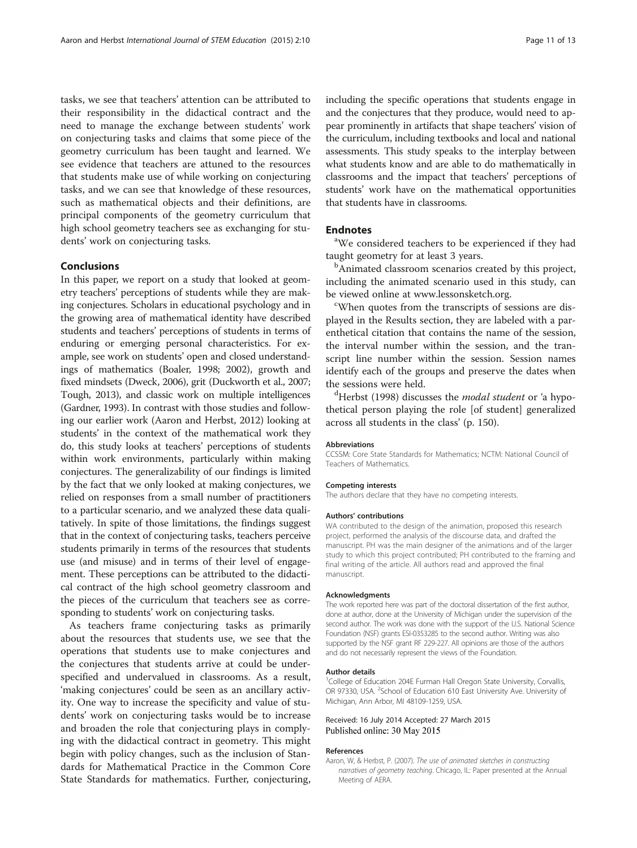<span id="page-10-0"></span>tasks, we see that teachers' attention can be attributed to their responsibility in the didactical contract and the need to manage the exchange between students' work on conjecturing tasks and claims that some piece of the geometry curriculum has been taught and learned. We see evidence that teachers are attuned to the resources that students make use of while working on conjecturing tasks, and we can see that knowledge of these resources, such as mathematical objects and their definitions, are principal components of the geometry curriculum that high school geometry teachers see as exchanging for students' work on conjecturing tasks.

### Conclusions

In this paper, we report on a study that looked at geometry teachers' perceptions of students while they are making conjectures. Scholars in educational psychology and in the growing area of mathematical identity have described students and teachers' perceptions of students in terms of enduring or emerging personal characteristics. For example, see work on students' open and closed understandings of mathematics (Boaler, [1998; 2002\)](#page-11-0), growth and fixed mindsets (Dweck, [2006](#page-11-0)), grit (Duckworth et al., [2007](#page-11-0); Tough, [2013](#page-12-0)), and classic work on multiple intelligences (Gardner, [1993\)](#page-11-0). In contrast with those studies and following our earlier work (Aaron and Herbst, [2012](#page-11-0)) looking at students' in the context of the mathematical work they do, this study looks at teachers' perceptions of students within work environments, particularly within making conjectures. The generalizability of our findings is limited by the fact that we only looked at making conjectures, we relied on responses from a small number of practitioners to a particular scenario, and we analyzed these data qualitatively. In spite of those limitations, the findings suggest that in the context of conjecturing tasks, teachers perceive students primarily in terms of the resources that students use (and misuse) and in terms of their level of engagement. These perceptions can be attributed to the didactical contract of the high school geometry classroom and the pieces of the curriculum that teachers see as corresponding to students' work on conjecturing tasks.

As teachers frame conjecturing tasks as primarily about the resources that students use, we see that the operations that students use to make conjectures and the conjectures that students arrive at could be underspecified and undervalued in classrooms. As a result, 'making conjectures' could be seen as an ancillary activity. One way to increase the specificity and value of students' work on conjecturing tasks would be to increase and broaden the role that conjecturing plays in complying with the didactical contract in geometry. This might begin with policy changes, such as the inclusion of Standards for Mathematical Practice in the Common Core State Standards for mathematics. Further, conjecturing, including the specific operations that students engage in and the conjectures that they produce, would need to appear prominently in artifacts that shape teachers' vision of the curriculum, including textbooks and local and national assessments. This study speaks to the interplay between what students know and are able to do mathematically in classrooms and the impact that teachers' perceptions of students' work have on the mathematical opportunities that students have in classrooms.

### **Endnotes**

We considered teachers to be experienced if they had taught geometry for at least 3 years.

<sup>b</sup>Animated classroom scenarios created by this project, including the animated scenario used in this study, can be viewed online at [www.lessonsketch.org](http://www.lessonsketch.org).

When quotes from the transcripts of sessions are displayed in the [Results](#page-6-0) section, they are labeled with a parenthetical citation that contains the name of the session, the interval number within the session, and the transcript line number within the session. Session names identify each of the groups and preserve the dates when the sessions were held.

<sup>d</sup>Herbst [\(1998](#page-11-0)) discusses the *modal student* or 'a hypothetical person playing the role [of student] generalized across all students in the class' (p. 150).

#### Abbreviations

CCSSM: Core State Standards for Mathematics; NCTM: National Council of Teachers of Mathematics.

#### Competing interests

The authors declare that they have no competing interests.

#### Authors' contributions

WA contributed to the design of the animation, proposed this research project, performed the analysis of the discourse data, and drafted the manuscript. PH was the main designer of the animations and of the larger study to which this project contributed; PH contributed to the framing and final writing of the article. All authors read and approved the final manuscript.

#### Acknowledgments

The work reported here was part of the doctoral dissertation of the first author, done at author, done at the University of Michigan under the supervision of the second author. The work was done with the support of the U.S. National Science Foundation (NSF) grants ESI-0353285 to the second author. Writing was also supported by the NSF grant RF 229-227. All opinions are those of the authors and do not necessarily represent the views of the Foundation.

#### Author details

<sup>1</sup>College of Education 204E Furman Hall Oregon State University, Corvallis, OR 97330, USA. <sup>2</sup>School of Education 610 East University Ave. University of Michigan, Ann Arbor, MI 48109-1259, USA.

### Received: 16 July 2014 Accepted: 27 March 2015 Published online: 30 May 2015

#### References

Aaron, W, & Herbst, P. (2007). The use of animated sketches in constructing narratives of geometry teaching. Chicago, IL: Paper presented at the Annual Meeting of AERA.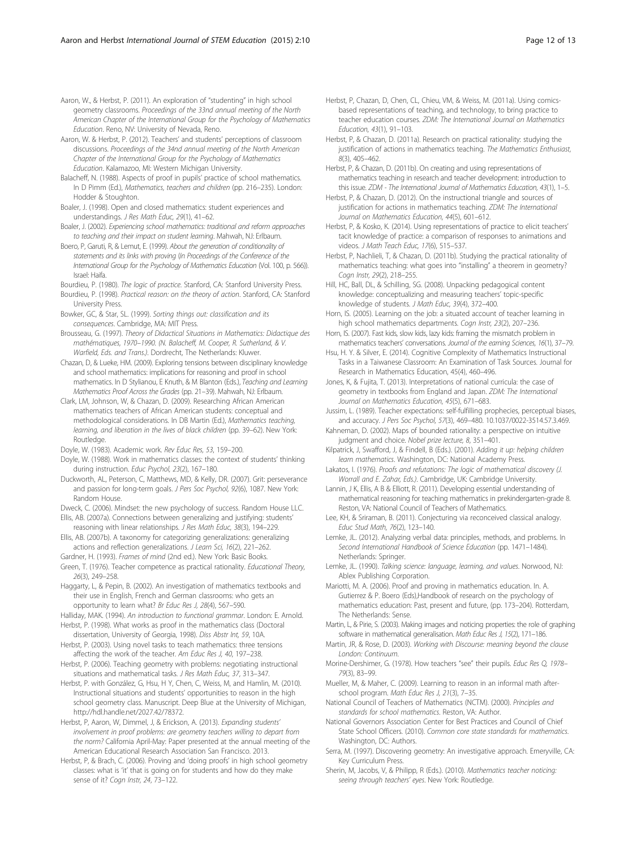- <span id="page-11-0"></span>Aaron, W., & Herbst, P. (2011). An exploration of "studenting" in high school geometry classrooms. Proceedings of the 33nd annual meeting of the North American Chapter of the International Group for the Psychology of Mathematics Education. Reno, NV: University of Nevada, Reno.
- Aaron, W. & Herbst, P. (2012). Teachers' and students' perceptions of classroom discussions. Proceedings of the 34nd annual meeting of the North American Chapter of the International Group for the Psychology of Mathematics Education. Kalamazoo, MI: Western Michigan University.
- Balacheff, N. (1988). Aspects of proof in pupils' practice of school mathematics. In D Pimm (Ed.), Mathematics, teachers and children (pp. 216–235). London: Hodder & Stoughton.
- Boaler, J. (1998). Open and closed mathematics: student experiences and understandings. J Res Math Educ, 29(1), 41–62.
- Boaler, J. (2002). Experiencing school mathematics: traditional and reform approaches to teaching and their impact on student learning. Mahwah, NJ: Erlbaum.
- Boero, P, Garuti, R, & Lemut, E. (1999). About the generation of conditionality of statements and its links with proving (In Proceedings of the Conference of the International Group for the Psychology of Mathematics Education (Vol. 100, p. 566)). Israel: Haifa.
- Bourdieu, P. (1980). The logic of practice. Stanford, CA: Stanford University Press.
- Bourdieu, P. (1998). Practical reason: on the theory of action. Stanford, CA: Stanford University Press.
- Bowker, GC, & Star, SL. (1999). Sorting things out: classification and its consequences. Cambridge, MA: MIT Press.
- Brousseau, G. (1997). Theory of Didactical Situations in Mathematics: Didactique des mathématiques, 1970–1990. (N. Balacheff, M. Cooper, R. Sutherland, & V. Warfield, Eds. and Trans.). Dordrecht, The Netherlands: Kluwer.
- Chazan, D, & Lueke, HM. (2009). Exploring tensions between disciplinary knowledge and school mathematics: implications for reasoning and proof in school mathematics. In D Stylianou, E Knuth, & M Blanton (Eds.), Teaching and Learning Mathematics Proof Across the Grades (pp. 21–39). Mahwah, NJ: Erlbaum.
- Clark, LM, Johnson, W, & Chazan, D. (2009). Researching African American mathematics teachers of African American students: conceptual and methodological considerations. In DB Martin (Ed.), Mathematics teaching, learning, and liberation in the lives of black children (pp. 39–62). New York: Routledge.
- Doyle, W. (1983). Academic work. Rev Educ Res, 53, 159–200.
- Doyle, W. (1988). Work in mathematics classes: the context of students' thinking during instruction. Educ Psychol, 23(2), 167–180.
- Duckworth, AL, Peterson, C, Matthews, MD, & Kelly, DR. (2007). Grit: perseverance and passion for long-term goals. J Pers Soc Psychol, 92(6), 1087. New York: Random House.
- Dweck, C. (2006). Mindset: the new psychology of success. Random House LLC.
- Ellis, AB. (2007a). Connections between generalizing and justifying: students' reasoning with linear relationships. J Res Math Educ, 38(3), 194–229.
- Ellis, AB. (2007b). A taxonomy for categorizing generalizations: generalizing actions and reflection generalizations. J Learn Sci, 16(2), 221-262. Gardner, H. (1993). Frames of mind (2nd ed.). New York: Basic Books.
- Green, T. (1976). Teacher competence as practical rationality. Educational Theory, 26(3), 249–258.
- Haggarty, L, & Pepin, B. (2002). An investigation of mathematics textbooks and their use in English, French and German classrooms: who gets an opportunity to learn what? Br Educ Res J, 28(4), 567–590.
- Halliday, MAK. (1994). An introduction to functional grammar. London: E. Arnold. Herbst, P. (1998). What works as proof in the mathematics class (Doctoral
- dissertation, University of Georgia, 1998). Diss Abstr Int, 59, 10A. Herbst, P. (2003). Using novel tasks to teach mathematics: three tensions
- affecting the work of the teacher. Am Educ Res J, 40, 197–238. Herbst, P. (2006). Teaching geometry with problems: negotiating instructional
- situations and mathematical tasks. J Res Math Educ, 37, 313–347. Herbst, P. with González, G, Hsu, H Y, Chen, C, Weiss, M, and Hamlin, M. (2010). Instructional situations and students' opportunities to reason in the high school geometry class. Manuscript. Deep Blue at the University of Michigan, [http://hdl.handle.net/2027.42/78372.](http://hdl.handle.net/2027.42/78372)
- Herbst, P, Aaron, W, Dimmel, J, & Erickson, A. (2013). Expanding students' involvement in proof problems: are geometry teachers willing to depart from the norm? California April-May: Paper presented at the annual meeting of the American Educational Research Association San Francisco. 2013.
- Herbst, P, & Brach, C. (2006). Proving and 'doing proofs' in high school geometry classes: what is 'it' that is going on for students and how do they make sense of it? Cogn Instr, 24, 73–122.
- Herbst, P, Chazan, D, Chen, CL, Chieu, VM, & Weiss, M. (2011a). Using comicsbased representations of teaching, and technology, to bring practice to teacher education courses. ZDM: The International Journal on Mathematics Education, 43(1), 91–103.
- Herbst, P, & Chazan, D. (2011a). Research on practical rationality: studying the justification of actions in mathematics teaching. The Mathematics Enthusiast, 8(3), 405–462.
- Herbst, P, & Chazan, D. (2011b). On creating and using representations of mathematics teaching in research and teacher development: introduction to this issue. ZDM - The International Journal of Mathematics Education, 43(1), 1–5.
- Herbst, P, & Chazan, D. (2012). On the instructional triangle and sources of justification for actions in mathematics teaching. ZDM: The International Journal on Mathematics Education, 44(5), 601–612.
- Herbst, P, & Kosko, K. (2014). Using representations of practice to elicit teachers' tacit knowledge of practice: a comparison of responses to animations and videos. J Math Teach Educ, 17(6), 515–537.
- Herbst, P, Nachlieli, T, & Chazan, D. (2011b). Studying the practical rationality of mathematics teaching: what goes into "installing" a theorem in geometry? Cogn Instr, 29(2), 218–255.
- Hill, HC, Ball, DL, & Schilling, SG. (2008). Unpacking pedagogical content knowledge: conceptualizing and measuring teachers' topic-specific knowledge of students. J Math Educ, 39(4), 372–400.
- Horn, IS. (2005). Learning on the job: a situated account of teacher learning in high school mathematics departments. Cogn Instr, 23(2), 207–236.
- Horn, IS. (2007). Fast kids, slow kids, lazy kids: framing the mismatch problem in mathematics teachers' conversations. Journal of the earning Sciences, 16(1), 37–79.
- Hsu, H. Y. & Silver, E. (2014). Cognitive Complexity of Mathematics Instructional Tasks in a Taiwanese Classroom: An Examination of Task Sources. Journal for Research in Mathematics Education, 45(4), 460–496.
- Jones, K, & Fujita, T. (2013). Interpretations of national curricula: the case of geometry in textbooks from England and Japan. ZDM: The International Journal on Mathematics Education, 45(5), 671–683.
- Jussim, L. (1989). Teacher expectations: self-fulfilling prophecies, perceptual biases, and accuracy. J Pers Soc Psychol, 57(3), 469–480. 10.1037/0022-3514.57.3.469.
- Kahneman, D. (2002). Maps of bounded rationality: a perspective on intuitive judgment and choice. Nobel prize lecture, 8, 351–401.
- Kilpatrick, J, Swafford, J, & Findell, B (Eds.). (2001). Adding it up: helping children learn mathematics. Washington, DC: National Academy Press.
- Lakatos, I. (1976). Proofs and refutations: The logic of mathematical discovery (J. Worrall and E. Zahar, Eds.). Cambridge, UK: Cambridge University.
- Lannin, J K, Ellis, A B & Elliott, R. (2011). Developing essential understanding of mathematical reasoning for teaching mathematics in prekindergarten-grade 8. Reston, VA: National Council of Teachers of Mathematics.
- Lee, KH, & Sriraman, B. (2011). Conjecturing via reconceived classical analogy. Educ Stud Math, 76(2), 123–140.
- Lemke, JL. (2012). Analyzing verbal data: principles, methods, and problems. In Second International Handbook of Science Education (pp. 1471–1484). Netherlands: Springer.
- Lemke, JL. (1990). Talking science: language, learning, and values. Norwood, NJ: Ablex Publishing Corporation.
- Mariotti, M. A. (2006). Proof and proving in mathematics education. In. A. Gutierrez & P. Boero (Eds),Handbook of research on the psychology of mathematics education: Past, present and future, (pp. 173–204). Rotterdam, The Netherlands: Sense.
- Martin, L, & Pirie, S. (2003). Making images and noticing properties: the role of graphing software in mathematical generalisation. Math Educ Res J, 15(2), 171–186.
- Martin, JR, & Rose, D. (2003). Working with Discourse: meaning beyond the clause London: Continuum.
- Morine-Dershimer, G. (1978). How teachers "see" their pupils. Educ Res Q, 1978– 79(3), 83–99.
- Mueller, M, & Maher, C. (2009). Learning to reason in an informal math afterschool program. Math Educ Res J, 21(3), 7–35.
- National Council of Teachers of Mathematics (NCTM). (2000). Principles and standards for school mathematics. Reston, VA: Author.
- National Governors Association Center for Best Practices and Council of Chief State School Officers. (2010). Common core state standards for mathematics. Washington, DC: Authors.
- Serra, M. (1997). Discovering geometry: An investigative approach. Emeryville, CA: Key Curriculum Press.
- Sherin, M, Jacobs, V, & Philipp, R (Eds.). (2010). Mathematics teacher noticing: seeing through teachers' eyes. New York: Routledge.